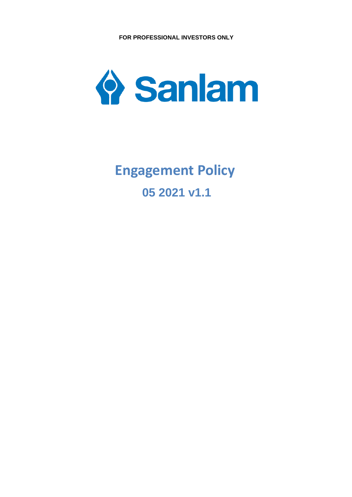

# **05 2021 v1.1 Engagement Policy**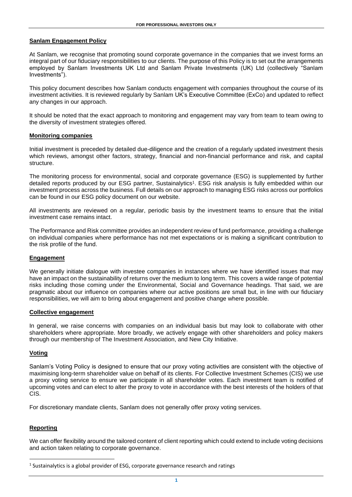## **Sanlam Engagement Policy**

At Sanlam, we recognise that promoting sound corporate governance in the companies that we invest forms an integral part of our fiduciary responsibilities to our clients. The purpose of this Policy is to set out the arrangements employed by Sanlam Investments UK Ltd and Sanlam Private Investments (UK) Ltd (collectively "Sanlam Investments").

This policy document describes how Sanlam conducts engagement with companies throughout the course of its investment activities. It is reviewed regularly by Sanlam UK's Executive Committee (ExCo) and updated to reflect any changes in our approach.

It should be noted that the exact approach to monitoring and engagement may vary from team to team owing to the diversity of investment strategies offered.

## **Monitoring companies**

Initial investment is preceded by detailed due-diligence and the creation of a regularly updated investment thesis which reviews, amongst other factors, strategy, financial and non-financial performance and risk, and capital structure.

The monitoring process for environmental, social and corporate governance (ESG) is supplemented by further detailed reports produced by our ESG partner, Sustainalytics<sup>1</sup>. ESG risk analysis is fully embedded within our investment process across the business. Full details on our approach to managing ESG risks across our portfolios can be found in our ESG policy document on our website.

All investments are reviewed on a regular, periodic basis by the investment teams to ensure that the initial investment case remains intact.

The Performance and Risk committee provides an independent review of fund performance, providing a challenge on individual companies where performance has not met expectations or is making a significant contribution to the risk profile of the fund.

## **Engagement**

We generally initiate dialogue with investee companies in instances where we have identified issues that may have an impact on the sustainability of returns over the medium to long term. This covers a wide range of potential risks including those coming under the Environmental, Social and Governance headings. That said, we are pragmatic about our influence on companies where our active positions are small but, in line with our fiduciary responsibilities, we will aim to bring about engagement and positive change where possible.

#### **Collective engagement**

In general, we raise concerns with companies on an individual basis but may look to collaborate with other shareholders where appropriate. More broadly, we actively engage with other shareholders and policy makers through our membership of The Investment Association, and New City Initiative.

## **Voting**

Sanlam's Voting Policy is designed to ensure that our proxy voting activities are consistent with the objective of maximising long-term shareholder value on behalf of its clients. For Collective Investment Schemes (CIS) we use a proxy voting service to ensure we participate in all shareholder votes. Each investment team is notified of upcoming votes and can elect to alter the proxy to vote in accordance with the best interests of the holders of that CIS.

For discretionary mandate clients, Sanlam does not generally offer proxy voting services.

## **Reporting**

We can offer flexibility around the tailored content of client reporting which could extend to include voting decisions and action taken relating to corporate governance.

 $<sup>1</sup>$  Sustainalytics is a global provider of ESG, corporate governance research and ratings</sup>